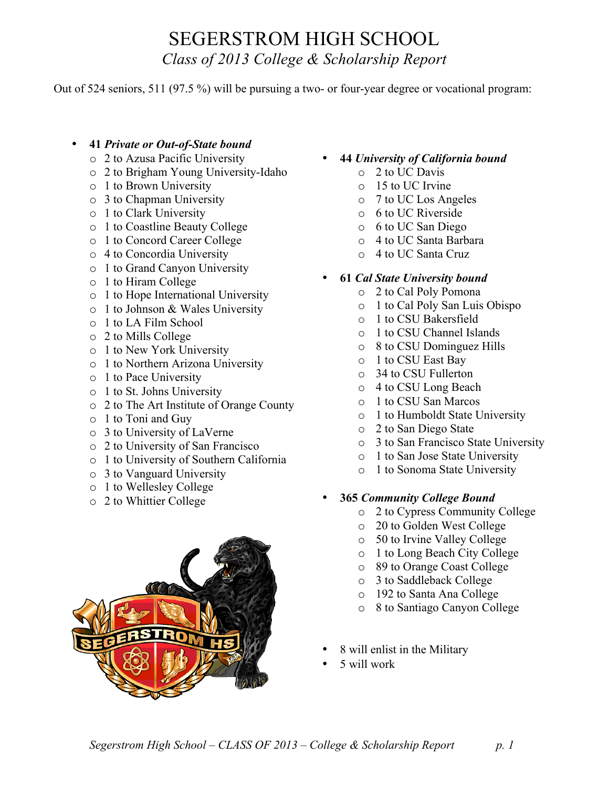## SEGERSTROM HIGH SCHOOL *Class of 2013 College & Scholarship Report*

Out of 524 seniors, 511 (97.5 %) will be pursuing a two- or four-year degree or vocational program:

- **41** *Private or Out-of-State bound*
	- o 2 to Azusa Pacific University
	- o 2 to Brigham Young University-Idaho
	- o 1 to Brown University
	- o 3 to Chapman University
	- o 1 to Clark University
	- o 1 to Coastline Beauty College
	- o 1 to Concord Career College
	- o 4 to Concordia University
	- o 1 to Grand Canyon University
	- o 1 to Hiram College
	- o 1 to Hope International University
	- o 1 to Johnson & Wales University
	- o 1 to LA Film School
	- o 2 to Mills College
	- o 1 to New York University
	- o 1 to Northern Arizona University
	- o 1 to Pace University
	- o 1 to St. Johns University
	- o 2 to The Art Institute of Orange County
	- o 1 to Toni and Guy
	- o 3 to University of LaVerne
	- o 2 to University of San Francisco
	- o 1 to University of Southern California
	- o 3 to Vanguard University
	- o 1 to Wellesley College
	- o 2 to Whittier College



- **44** *University of California bound*
	- o 2 to UC Davis
	- o 15 to UC Irvine
	- o 7 to UC Los Angeles
	- o 6 to UC Riverside
	- o 6 to UC San Diego
	- o 4 to UC Santa Barbara
	- o 4 to UC Santa Cruz

### • **61** *Cal State University bound*

- o 2 to Cal Poly Pomona
- o 1 to Cal Poly San Luis Obispo
- o 1 to CSU Bakersfield
- o 1 to CSU Channel Islands
- o 8 to CSU Dominguez Hills
- o 1 to CSU East Bay
- o 34 to CSU Fullerton
- o 4 to CSU Long Beach
- o 1 to CSU San Marcos
- o 1 to Humboldt State University
- o 2 to San Diego State
- o 3 to San Francisco State University
- o 1 to San Jose State University
- o 1 to Sonoma State University

### • **365** *Community College Bound*

- o 2 to Cypress Community College
- o 20 to Golden West College
- o 50 to Irvine Valley College
- o 1 to Long Beach City College
- o 89 to Orange Coast College
- o 3 to Saddleback College
- o 192 to Santa Ana College
- o 8 to Santiago Canyon College
- 8 will enlist in the Military
- 5 will work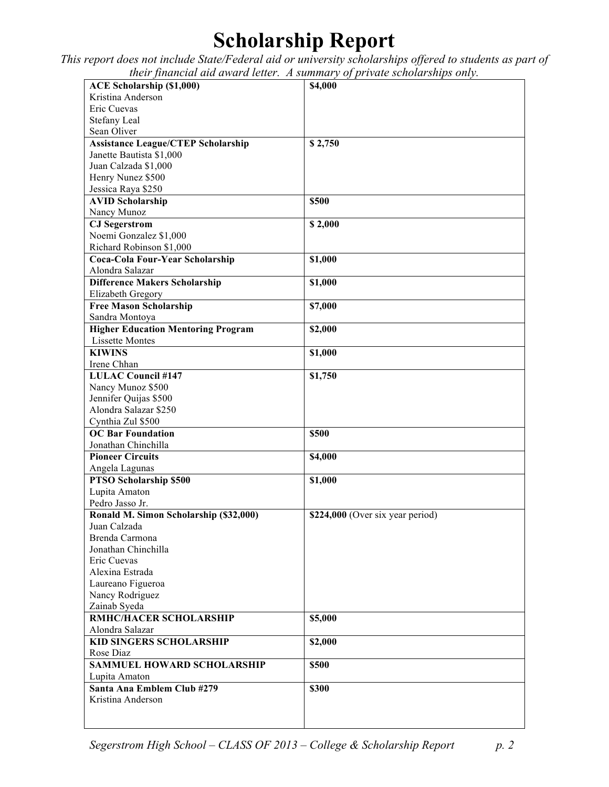# **Scholarship Report**

*This report does not include State/Federal aid or university scholarships offered to students as part of their financial aid award letter. A summary of private scholarships only.*

| <b>ACE Scholarship (\$1,000)</b>          | \$4,000                          |
|-------------------------------------------|----------------------------------|
| Kristina Anderson                         |                                  |
| Eric Cuevas                               |                                  |
| Stefany Leal                              |                                  |
| Sean Oliver                               |                                  |
|                                           |                                  |
| <b>Assistance League/CTEP Scholarship</b> | \$2,750                          |
| Janette Bautista \$1,000                  |                                  |
| Juan Calzada \$1,000                      |                                  |
| Henry Nunez \$500                         |                                  |
| Jessica Raya \$250                        |                                  |
| <b>AVID Scholarship</b>                   | \$500                            |
| Nancy Munoz                               |                                  |
| <b>CJ</b> Segerstrom                      | \$2,000                          |
| Noemi Gonzalez \$1,000                    |                                  |
| Richard Robinson \$1,000                  |                                  |
| Coca-Cola Four-Year Scholarship           | \$1,000                          |
| Alondra Salazar                           |                                  |
| <b>Difference Makers Scholarship</b>      | \$1,000                          |
| Elizabeth Gregory                         |                                  |
| <b>Free Mason Scholarship</b>             | \$7,000                          |
| Sandra Montoya                            |                                  |
| <b>Higher Education Mentoring Program</b> | \$2,000                          |
| <b>Lissette Montes</b>                    |                                  |
| <b>KIWINS</b>                             | \$1,000                          |
| Irene Chhan                               |                                  |
|                                           |                                  |
| <b>LULAC Council #147</b>                 | \$1,750                          |
| Nancy Munoz \$500                         |                                  |
| Jennifer Quijas \$500                     |                                  |
| Alondra Salazar \$250                     |                                  |
| Cynthia Zul \$500                         |                                  |
| <b>OC Bar Foundation</b>                  | \$500                            |
| Jonathan Chinchilla                       |                                  |
| <b>Pioneer Circuits</b>                   | \$4,000                          |
| Angela Lagunas                            |                                  |
| PTSO Scholarship \$500                    | \$1,000                          |
| Lupita Amaton                             |                                  |
| Pedro Jasso Jr.                           |                                  |
| Ronald M. Simon Scholarship (\$32,000)    | \$224,000 (Over six year period) |
| Juan Calzada                              |                                  |
| Brenda Carmona                            |                                  |
| Jonathan Chinchilla                       |                                  |
| Eric Cuevas                               |                                  |
| Alexina Estrada                           |                                  |
| Laureano Figueroa                         |                                  |
| Nancy Rodriguez                           |                                  |
| Zainab Syeda                              |                                  |
| RMHC/HACER SCHOLARSHIP                    | \$5,000                          |
| Alondra Salazar                           |                                  |
| <b>KID SINGERS SCHOLARSHIP</b>            | \$2,000                          |
| Rose Diaz                                 |                                  |
| <b>SAMMUEL HOWARD SCHOLARSHIP</b>         | \$500                            |
|                                           |                                  |
| Lupita Amaton                             |                                  |
| Santa Ana Emblem Club #279                | \$300                            |
| Kristina Anderson                         |                                  |
|                                           |                                  |
|                                           |                                  |